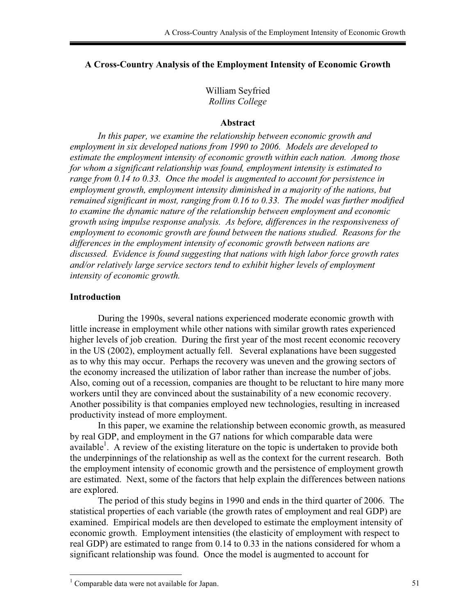# **A Cross-Country Analysis of the Employment Intensity of Economic Growth**

William Seyfried *Rollins College*

#### **Abstract**

*In this paper, we examine the relationship between economic growth and employment in six developed nations from 1990 to 2006. Models are developed to estimate the employment intensity of economic growth within each nation. Among those for whom a significant relationship was found, employment intensity is estimated to range from 0.14 to 0.33. Once the model is augmented to account for persistence in employment growth, employment intensity diminished in a majority of the nations, but remained significant in most, ranging from 0.16 to 0.33. The model was further modified to examine the dynamic nature of the relationship between employment and economic growth using impulse response analysis. As before, differences in the responsiveness of employment to economic growth are found between the nations studied. Reasons for the differences in the employment intensity of economic growth between nations are discussed. Evidence is found suggesting that nations with high labor force growth rates and/or relatively large service sectors tend to exhibit higher levels of employment intensity of economic growth.* 

# **Introduction**

During the 1990s, several nations experienced moderate economic growth with little increase in employment while other nations with similar growth rates experienced higher levels of job creation. During the first year of the most recent economic recovery in the US (2002), employment actually fell. Several explanations have been suggested as to why this may occur. Perhaps the recovery was uneven and the growing sectors of the economy increased the utilization of labor rather than increase the number of jobs. Also, coming out of a recession, companies are thought to be reluctant to hire many more workers until they are convinced about the sustainability of a new economic recovery. Another possibility is that companies employed new technologies, resulting in increased productivity instead of more employment.

 In this paper, we examine the relationship between economic growth, as measured by real GDP, and employment in the G7 nations for which comparable data were available<sup>1</sup>. A review of the existing literature on the topic is undertaken to provide both the underpinnings of the relationship as well as the context for the current research. Both the employment intensity of economic growth and the persistence of employment growth are estimated. Next, some of the factors that help explain the differences between nations are explored.

 The period of this study begins in 1990 and ends in the third quarter of 2006. The statistical properties of each variable (the growth rates of employment and real GDP) are examined. Empirical models are then developed to estimate the employment intensity of economic growth. Employment intensities (the elasticity of employment with respect to real GDP) are estimated to range from 0.14 to 0.33 in the nations considered for whom a significant relationship was found. Once the model is augmented to account for

 $1$  Comparable data were not available for Japan.  $51$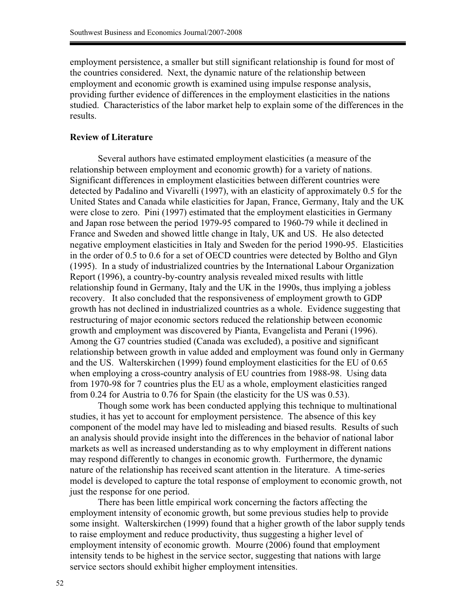employment persistence, a smaller but still significant relationship is found for most of the countries considered. Next, the dynamic nature of the relationship between employment and economic growth is examined using impulse response analysis, providing further evidence of differences in the employment elasticities in the nations studied. Characteristics of the labor market help to explain some of the differences in the results.

### **Review of Literature**

Several authors have estimated employment elasticities (a measure of the relationship between employment and economic growth) for a variety of nations. Significant differences in employment elasticities between different countries were detected by Padalino and Vivarelli (1997), with an elasticity of approximately 0.5 for the United States and Canada while elasticities for Japan, France, Germany, Italy and the UK were close to zero. Pini (1997) estimated that the employment elasticities in Germany and Japan rose between the period 1979-95 compared to 1960-79 while it declined in France and Sweden and showed little change in Italy, UK and US. He also detected negative employment elasticities in Italy and Sweden for the period 1990-95. Elasticities in the order of 0.5 to 0.6 for a set of OECD countries were detected by Boltho and Glyn (1995). In a study of industrialized countries by the International Labour Organization Report (1996), a country-by-country analysis revealed mixed results with little relationship found in Germany, Italy and the UK in the 1990s, thus implying a jobless recovery. It also concluded that the responsiveness of employment growth to GDP growth has not declined in industrialized countries as a whole. Evidence suggesting that restructuring of major economic sectors reduced the relationship between economic growth and employment was discovered by Pianta, Evangelista and Perani (1996). Among the G7 countries studied (Canada was excluded), a positive and significant relationship between growth in value added and employment was found only in Germany and the US. Walterskirchen (1999) found employment elasticities for the EU of 0.65 when employing a cross-country analysis of EU countries from 1988-98. Using data from 1970-98 for 7 countries plus the EU as a whole, employment elasticities ranged from 0.24 for Austria to 0.76 for Spain (the elasticity for the US was 0.53).

Though some work has been conducted applying this technique to multinational studies, it has yet to account for employment persistence. The absence of this key component of the model may have led to misleading and biased results. Results of such an analysis should provide insight into the differences in the behavior of national labor markets as well as increased understanding as to why employment in different nations may respond differently to changes in economic growth. Furthermore, the dynamic nature of the relationship has received scant attention in the literature. A time-series model is developed to capture the total response of employment to economic growth, not just the response for one period.

There has been little empirical work concerning the factors affecting the employment intensity of economic growth, but some previous studies help to provide some insight. Walterskirchen (1999) found that a higher growth of the labor supply tends to raise employment and reduce productivity, thus suggesting a higher level of employment intensity of economic growth. Mourre (2006) found that employment intensity tends to be highest in the service sector, suggesting that nations with large service sectors should exhibit higher employment intensities.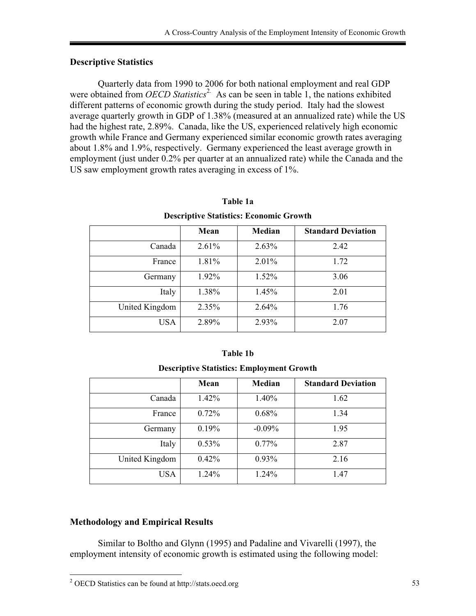# **Descriptive Statistics**

Quarterly data from 1990 to 2006 for both national employment and real GDP were obtained from *OECD Statistics*<sup>2.</sup> As can be seen in table 1, the nations exhibited different patterns of economic growth during the study period. Italy had the slowest average quarterly growth in GDP of 1.38% (measured at an annualized rate) while the US had the highest rate, 2.89%. Canada, like the US, experienced relatively high economic growth while France and Germany experienced similar economic growth rates averaging about 1.8% and 1.9%, respectively. Germany experienced the least average growth in employment (just under 0.2% per quarter at an annualized rate) while the Canada and the US saw employment growth rates averaging in excess of 1%.

| Descriptive Statistics: Economic Growth |          |          |                           |  |
|-----------------------------------------|----------|----------|---------------------------|--|
|                                         | Mean     | Median   | <b>Standard Deviation</b> |  |
| Canada                                  | 2.61%    | 2.63%    | 2.42                      |  |
| France                                  | 1.81%    | 2.01%    | 1.72                      |  |
| Germany                                 | 1.92%    | 1.52%    | 3.06                      |  |
| Italy                                   | 1.38%    | 1.45%    | 2.01                      |  |
| United Kingdom                          | $2.35\%$ | $2.64\%$ | 1.76                      |  |
| <b>USA</b>                              | 2.89%    | 2.93%    | 2.07                      |  |

## **Table 1a**

**Descriptive Statistics: Economic Growth** 

| Table 1b |  |                                                  |  |  |
|----------|--|--------------------------------------------------|--|--|
|          |  | <b>Descriptive Statistics: Employment Growth</b> |  |  |

|                | Mean     | Median   | <b>Standard Deviation</b> |
|----------------|----------|----------|---------------------------|
| Canada         | 1.42%    | 1.40%    | 1.62                      |
| France         | $0.72\%$ | 0.68%    | 1.34                      |
| Germany        | 0.19%    | $-0.09%$ | 1.95                      |
| Italy          | $0.53\%$ | $0.77\%$ | 2.87                      |
| United Kingdom | 0.42%    | 0.93%    | 2.16                      |
| <b>USA</b>     | 1.24%    | 1.24%    | 1.47                      |

# **Methodology and Empirical Results**

Similar to Boltho and Glynn (1995) and Padaline and Vivarelli (1997), the employment intensity of economic growth is estimated using the following model:

<sup>&</sup>lt;sup>2</sup> OECD Statistics can be found at http://stats.oecd.org 53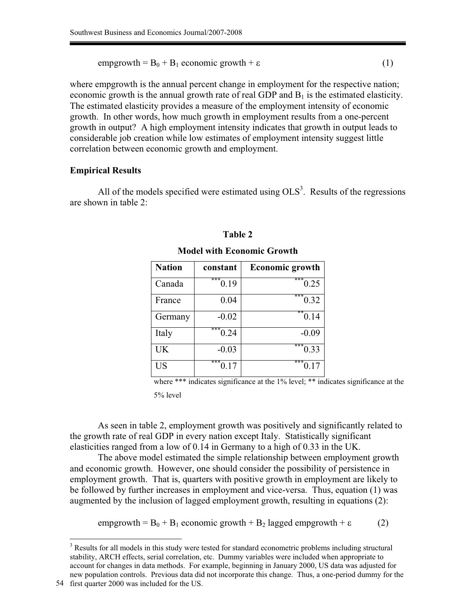$\text{empgrowth} = B_0 + B_1 \text{ economic growth} + \varepsilon$  (1)

where empgrowth is the annual percent change in employment for the respective nation; economic growth is the annual growth rate of real GDP and  $B_1$  is the estimated elasticity. The estimated elasticity provides a measure of the employment intensity of economic growth. In other words, how much growth in employment results from a one-percent growth in output? A high employment intensity indicates that growth in output leads to considerable job creation while low estimates of employment intensity suggest little correlation between economic growth and employment.

### **Empirical Results**

All of the models specified were estimated using  $OLS<sup>3</sup>$ . Results of the regressions are shown in table 2:

| <b>Nation</b> | constant    | <b>Economic growth</b> |
|---------------|-------------|------------------------|
| Canada        | ***<br>0.19 | ***<br>0.25            |
| France        | 0.04        | $\overline{1}$ (0.32)  |
| Germany       | $-0.02$     | $*$ <sup>0.14</sup>    |
| Italy         | ***<br>0.24 | $-0.09$                |
| UK            | $-0.03$     | ***<br>0.33            |
| US            | ***<br>0.17 | ***<br>0.17            |

# **Table 2 Model with Economic Growth**

where \*\*\* indicates significance at the 1% level; \*\* indicates significance at the 5% level

As seen in table 2, employment growth was positively and significantly related to the growth rate of real GDP in every nation except Italy. Statistically significant elasticities ranged from a low of 0.14 in Germany to a high of 0.33 in the UK.

The above model estimated the simple relationship between employment growth and economic growth. However, one should consider the possibility of persistence in employment growth. That is, quarters with positive growth in employment are likely to be followed by further increases in employment and vice-versa. Thus, equation (1) was augmented by the inclusion of lagged employment growth, resulting in equations (2):

empgrowth =  $B_0$  +  $B_1$  economic growth +  $B_2$  lagged empgrowth +  $\varepsilon$  (2)

<sup>&</sup>lt;sup>3</sup> Results for all models in this study were tested for standard econometric problems including structural stability, ARCH effects, serial correlation, etc. Dummy variables were included when appropriate to account for changes in data methods. For example, beginning in January 2000, US data was adjusted for new population controls. Previous data did not incorporate this change. Thus, a one-period dummy for the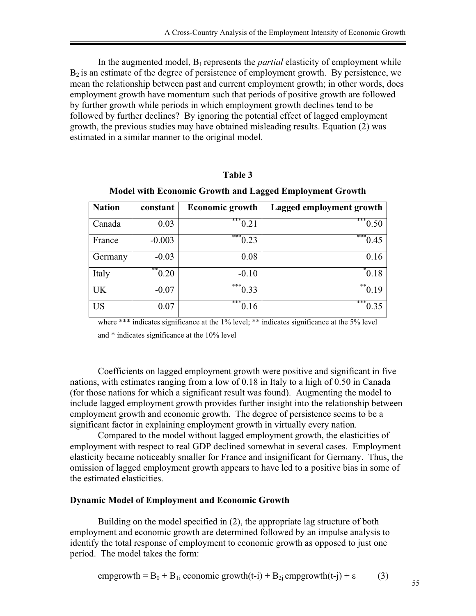In the augmented model, B<sup>1</sup> represents the *partial* elasticity of employment while  $B_2$  is an estimate of the degree of persistence of employment growth. By persistence, we mean the relationship between past and current employment growth; in other words, does employment growth have momentum such that periods of positive growth are followed by further growth while periods in which employment growth declines tend to be followed by further declines? By ignoring the potential effect of lagged employment growth, the previous studies may have obtained misleading results. Equation (2) was estimated in a similar manner to the original model.

# **Table 3**

**Model with Economic Growth and Lagged Employment Growth** 

| <b>Nation</b> | constant   | <b>Economic growth</b> | Lagged employment growth        |
|---------------|------------|------------------------|---------------------------------|
| Canada        | 0.03       | ***<br>0.21            | $* \overline{\phantom{0} 0.50}$ |
| France        | $-0.003$   | ***<br>0.23            | ***<br>0.45                     |
| Germany       | $-0.03$    | 0.08                   | 0.16                            |
| Italy         | **<br>0.20 | $-0.10$                | $^*0.18$                        |
| <b>UK</b>     | $-0.07$    | ***<br>0.33            | **<br>0.19                      |
| <b>US</b>     | 0.07       | ***<br>0.16            | ***<br>0.35                     |

where \*\*\* indicates significance at the 1% level; \*\* indicates significance at the 5% level

and \* indicates significance at the 10% level

Coefficients on lagged employment growth were positive and significant in five nations, with estimates ranging from a low of 0.18 in Italy to a high of 0.50 in Canada (for those nations for which a significant result was found). Augmenting the model to include lagged employment growth provides further insight into the relationship between employment growth and economic growth. The degree of persistence seems to be a significant factor in explaining employment growth in virtually every nation.

Compared to the model without lagged employment growth, the elasticities of employment with respect to real GDP declined somewhat in several cases. Employment elasticity became noticeably smaller for France and insignificant for Germany. Thus, the omission of lagged employment growth appears to have led to a positive bias in some of the estimated elasticities.

### **Dynamic Model of Employment and Economic Growth**

Building on the model specified in (2), the appropriate lag structure of both employment and economic growth are determined followed by an impulse analysis to identify the total response of employment to economic growth as opposed to just one period. The model takes the form:

empgrowth = 
$$
B_0
$$
 +  $B_{1i}$  economic growth(t-i) +  $B_{2j}$  empgrowth(t-j) + ε (3)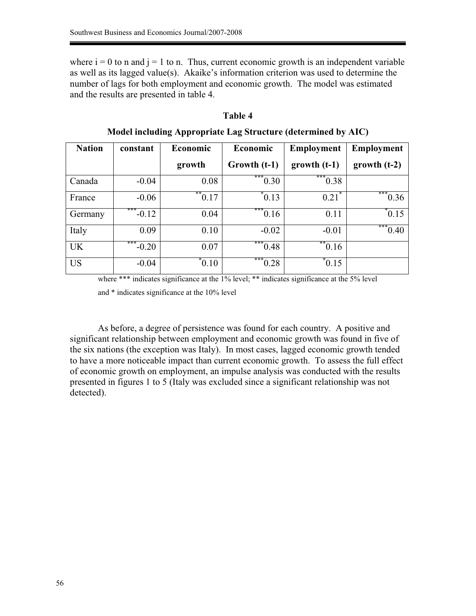where  $i = 0$  to n and  $j = 1$  to n. Thus, current economic growth is an independent variable as well as its lagged value(s). Akaike's information criterion was used to determine the number of lags for both employment and economic growth. The model was estimated and the results are presented in table 4.

### **Table 4**

| <b>Nation</b> | constant       | Economic                | Economic          | <b>Employment</b>       | <b>Employment</b> |
|---------------|----------------|-------------------------|-------------------|-------------------------|-------------------|
|               |                | growth                  | Growth (t-1)      | $growth (t-1)$          | $growth (t-2)$    |
| Canada        | $-0.04$        | 0.08                    | $*^{**}0.30$      | $*^{**}0.38$            |                   |
| France        | $-0.06$        | $1*$ <sup>**</sup> 0.17 | $^*$ 0.13         | 0.21                    | ***<br>0.36       |
| Germany       | ***<br>$-0.12$ | 0.04                    | ***<br>0.16       | 0.11                    | 0.15              |
| Italy         | 0.09           | 0.10                    | $-0.02$           | $-0.01$                 | ***<br>0.40       |
| <b>UK</b>     | ***<br>$-0.20$ | 0.07                    | ***<br>0.48       | $16$ <sup>**</sup> 0.16 |                   |
| <b>US</b>     | $-0.04$        | $^*0.10$                | $\frac{1}{10.28}$ | $^*$ 0.15               |                   |

**Model including Appropriate Lag Structure (determined by AIC)** 

where \*\*\* indicates significance at the 1% level; \*\* indicates significance at the 5% level

and \* indicates significance at the 10% level

As before, a degree of persistence was found for each country. A positive and significant relationship between employment and economic growth was found in five of the six nations (the exception was Italy). In most cases, lagged economic growth tended to have a more noticeable impact than current economic growth. To assess the full effect of economic growth on employment, an impulse analysis was conducted with the results presented in figures 1 to 5 (Italy was excluded since a significant relationship was not detected).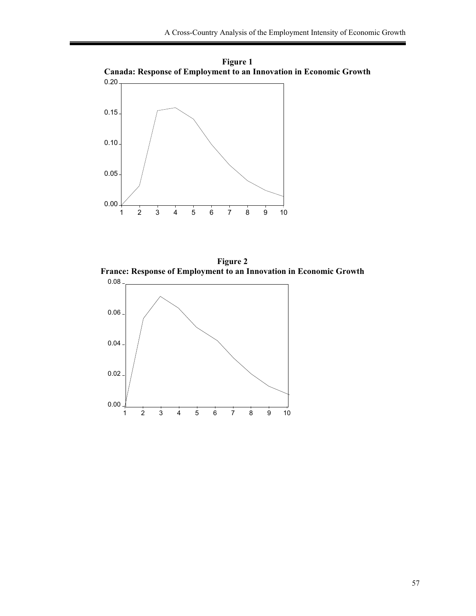

**Figure 1 Canada: Response of Employment to an Innovation in Economic Growth** 

**Figure 2 France: Response of Employment to an Innovation in Economic Growth** 

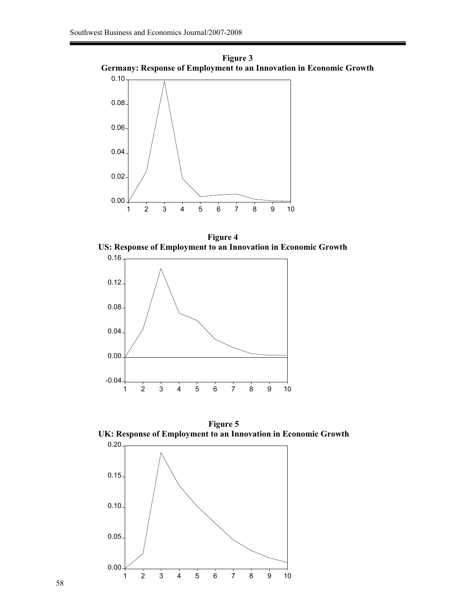



**Figure 4 US: Response of Employment to an Innovation in Economic Growth** 





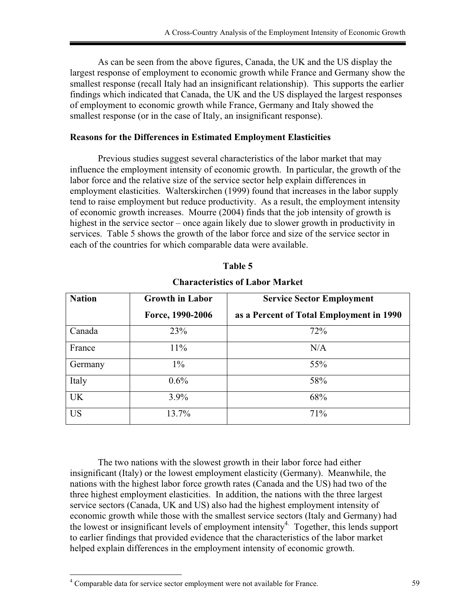As can be seen from the above figures, Canada, the UK and the US display the largest response of employment to economic growth while France and Germany show the smallest response (recall Italy had an insignificant relationship). This supports the earlier findings which indicated that Canada, the UK and the US displayed the largest responses of employment to economic growth while France, Germany and Italy showed the smallest response (or in the case of Italy, an insignificant response).

# **Reasons for the Differences in Estimated Employment Elasticities**

Previous studies suggest several characteristics of the labor market that may influence the employment intensity of economic growth. In particular, the growth of the labor force and the relative size of the service sector help explain differences in employment elasticities. Walterskirchen (1999) found that increases in the labor supply tend to raise employment but reduce productivity. As a result, the employment intensity of economic growth increases. Mourre (2004) finds that the job intensity of growth is highest in the service sector – once again likely due to slower growth in productivity in services. Table 5 shows the growth of the labor force and size of the service sector in each of the countries for which comparable data were available.

| <b>Nation</b> | <b>Growth in Labor</b> | <b>Service Sector Employment</b>         |  |
|---------------|------------------------|------------------------------------------|--|
|               | Force, 1990-2006       | as a Percent of Total Employment in 1990 |  |
| Canada        | 23%                    | 72%                                      |  |
| France        | $11\%$                 | N/A                                      |  |
| Germany       | $1\%$                  | 55%                                      |  |
| Italy         | $0.6\%$                | 58%                                      |  |
| <b>UK</b>     | $3.9\%$                | 68%                                      |  |
| <b>US</b>     | 13.7%                  | 71%                                      |  |

| <b>Characteristics of Labor Market</b> |  |  |
|----------------------------------------|--|--|
|----------------------------------------|--|--|

**Table 5** 

The two nations with the slowest growth in their labor force had either insignificant (Italy) or the lowest employment elasticity (Germany). Meanwhile, the nations with the highest labor force growth rates (Canada and the US) had two of the three highest employment elasticities. In addition, the nations with the three largest service sectors (Canada, UK and US) also had the highest employment intensity of economic growth while those with the smallest service sectors (Italy and Germany) had the lowest or insignificant levels of employment intensity<sup>4</sup>. Together, this lends support to earlier findings that provided evidence that the characteristics of the labor market helped explain differences in the employment intensity of economic growth.

<sup>&</sup>lt;sup>4</sup> Comparable data for service sector employment were not available for France. 59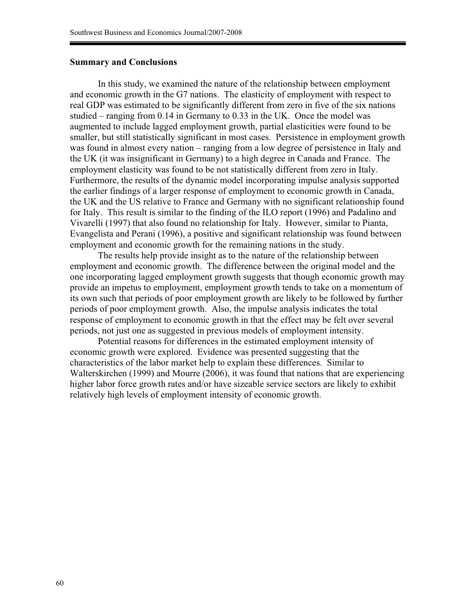### **Summary and Conclusions**

In this study, we examined the nature of the relationship between employment and economic growth in the G7 nations. The elasticity of employment with respect to real GDP was estimated to be significantly different from zero in five of the six nations studied – ranging from 0.14 in Germany to 0.33 in the UK. Once the model was augmented to include lagged employment growth, partial elasticities were found to be smaller, but still statistically significant in most cases. Persistence in employment growth was found in almost every nation – ranging from a low degree of persistence in Italy and the UK (it was insignificant in Germany) to a high degree in Canada and France. The employment elasticity was found to be not statistically different from zero in Italy. Furthermore, the results of the dynamic model incorporating impulse analysis supported the earlier findings of a larger response of employment to economic growth in Canada, the UK and the US relative to France and Germany with no significant relationship found for Italy. This result is similar to the finding of the ILO report (1996) and Padalino and Vivarelli (1997) that also found no relationship for Italy. However, similar to Pianta, Evangelista and Perani (1996), a positive and significant relationship was found between employment and economic growth for the remaining nations in the study.

The results help provide insight as to the nature of the relationship between employment and economic growth. The difference between the original model and the one incorporating lagged employment growth suggests that though economic growth may provide an impetus to employment, employment growth tends to take on a momentum of its own such that periods of poor employment growth are likely to be followed by further periods of poor employment growth. Also, the impulse analysis indicates the total response of employment to economic growth in that the effect may be felt over several periods, not just one as suggested in previous models of employment intensity.

Potential reasons for differences in the estimated employment intensity of economic growth were explored. Evidence was presented suggesting that the characteristics of the labor market help to explain these differences. Similar to Walterskirchen (1999) and Mourre (2006), it was found that nations that are experiencing higher labor force growth rates and/or have sizeable service sectors are likely to exhibit relatively high levels of employment intensity of economic growth.